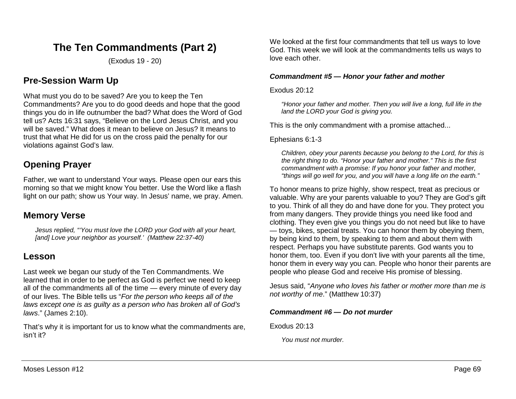# **The Ten Commandments (Part 2)**

(Exodus 19 - 20)

## **Pre-Session Warm Up**

What must you do to be saved? Are you to keep the Ten Commandments? Are you to do good deeds and hope that the good things you do in life outnumber the bad? What does the Word of God tell us? Acts 16:31 says, "Believe on the Lord Jesus Christ, and you will be saved." What does it mean to believe on Jesus? It means to trust that what He did for us on the cross paid the penalty for our violations against God's law.

# **Opening Prayer**

Father, we want to understand Your ways. Please open our ears this morning so that we might know You better. Use the Word like a flash light on our path; show us Your way. In Jesus' name, we pray. Amen.

## **Memory Verse**

*Jesus replied, "'You must love the LORD your God with all your heart, [and] Love your neighbor as yourself.' (Matthew 22:37-40)*

### **Lesson**

Last week we began our study of the Ten Commandments. We learned that in order to be perfect as God is perfect we need to keep all of the commandments all of the time — every minute of every day of our lives. The Bible tells us "*For the person who keeps all of the laws except one is as guilty as a person who has broken all of God's laws*." (James 2:10).

That's why it is important for us to know what the commandments are, isn't it?

We looked at the first four commandments that tell us ways to love God. This week we will look at the commandments tells us ways to love each other.

#### *Commandment #5 — Honor your father and mother*

Exodus 20:12

*"Honor your father and mother. Then you will live a long, full life in the land the LORD your God is giving you.*

This is the only commandment with a promise attached...

Ephesians 6:1-3

*Children, obey your parents because you belong to the Lord, for this is the right thing to do. "Honor your father and mother." This is the first commandment with a promise: If you honor your father and mother, "things will go well for you, and you will have a long life on the earth."* 

To honor means to prize highly, show respect, treat as precious or valuable. Why are your parents valuable to you? They are God's gift to you. Think of all they do and have done for you. They protect you from many dangers. They provide things you need like food and clothing. They even give you things you do not need but like to have — toys, bikes, special treats. You can honor them by obeying them, by being kind to them, by speaking to them and about them with respect. Perhaps you have substitute parents. God wants you to honor them, too. Even if you don't live with your parents all the time, honor them in every way you can. People who honor their parents are people who please God and receive His promise of blessing.

Jesus said, "*Anyone who loves his father or mother more than me is not worthy of me*." (Matthew 10:37)

#### *Commandment #6 — Do not murder*

Exodus 20:13

*You must not murder.*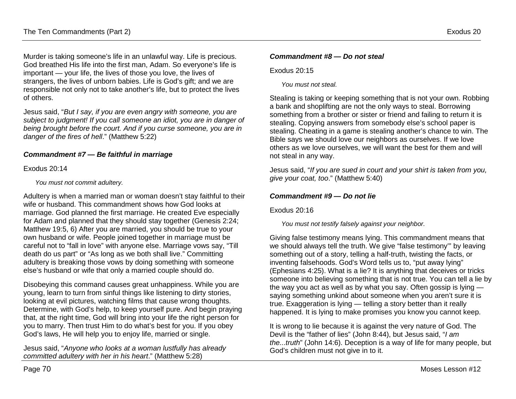Murder is taking someone's life in an unlawful way. Life is precious. God breathed His life into the first man, Adam. So everyone's life is important — your life, the lives of those you love, the lives of strangers, the lives of unborn babies. Life is God's gift; and we are responsible not only not to take another's life, but to protect the lives of others.

Jesus said, "*But I say, if you are even angry with someone, you are subject to judgment! If you call someone an idiot, you are in danger of being brought before the court. And if you curse someone, you are in danger of the fires of hell*." (Matthew 5:22)

#### *Commandment #7 — Be faithful in marriage*

Exodus 20:14

*You must not commit adultery.*

Adultery is when a married man or woman doesn't stay faithful to their wife or husband. This commandment shows how God looks at marriage. God planned the first marriage. He created Eve especially for Adam and planned that they should stay together (Genesis 2:24; Matthew 19:5, 6) After you are married, you should be true to your own husband or wife. People joined together in marriage must be careful not to "fall in love" with anyone else. Marriage vows say, "Till death do us part" or "As long as we both shall live." Committing adultery is breaking those vows by doing something with someone else's husband or wife that only a married couple should do.

Disobeying this command causes great unhappiness. While you are young, learn to turn from sinful things like listening to dirty stories, looking at evil pictures, watching films that cause wrong thoughts. Determine, with God's help, to keep yourself pure. And begin praying that, at the right time, God will bring into your life the right person for you to marry. Then trust Him to do what's best for you. If you obey God's laws, He will help you to enjoy life, married or single.

Jesus said, "*Anyone who looks at a woman lustfully has already committed adultery with her in his heart*." (Matthew 5:28)

#### *Commandment #8 — Do not steal*

Exodus 20:15

*You must not steal.*

Stealing is taking or keeping something that is not your own. Robbing a bank and shoplifting are not the only ways to steal. Borrowing something from a brother or sister or friend and failing to return it is stealing. Copying answers from somebody else's school paper is stealing. Cheating in a game is stealing another's chance to win. The Bible says we should love our neighbors as ourselves. If we love others as we love ourselves, we will want the best for them and will not steal in any way.

Jesus said, "*If you are sued in court and your shirt is taken from you, give your coat, too*." (Matthew 5:40)

#### *Commandment #9 — Do not lie*

Exodus 20:16

*You must not testify falsely against your neighbor.*

Giving false testimony means lying. This commandment means that we should always tell the truth. We give "false testimony'" by leaving something out of a story, telling a half-truth, twisting the facts, or inventing falsehoods. God's Word tells us to, "put away lying" (Ephesians 4:25). What is a lie? It is anything that deceives or tricks someone into believing something that is not true. You can tell a lie by the way you act as well as by what you say. Often gossip is lying saying something unkind about someone when you aren't sure it is true. Exaggeration is lying — telling a story better than it really happened. It is lying to make promises you know you cannot keep.

It is wrong to lie because it is against the very nature of God. The Devil is the "father of lies" (John 8:44), but Jesus said, "*I am the...truth*" (John 14:6). Deception is a way of life for many people, but God's children must not give in to it.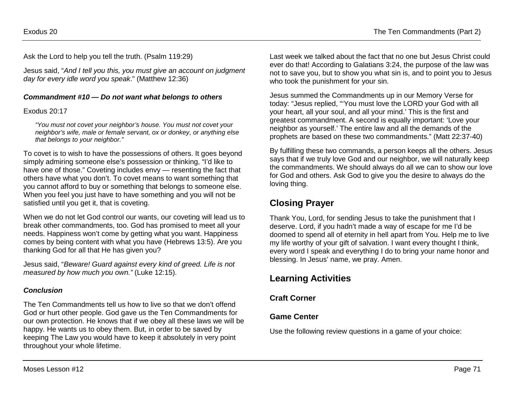Ask the Lord to help you tell the truth. (Psalm 119:29)

Jesus said, "*And I tell you this, you must give an account on judgment day for every idle word you speak*." (Matthew 12:36)

#### *Commandment #10 — Do not want what belongs to others*

Exodus 20:17

*"You must not covet your neighbor's house. You must not covet your neighbor's wife, male or female servant, ox or donkey, or anything else that belongs to your neighbor."*

To covet is to wish to have the possessions of others. It goes beyond simply admiring someone else's possession or thinking, "I'd like to have one of those." Coveting includes envy — resenting the fact that others have what you don't. To covet means to want something that you cannot afford to buy or something that belongs to someone else. When you feel you just have to have something and you will not be satisfied until you get it, that is coveting.

When we do not let God control our wants, our coveting will lead us to break other commandments, too. God has promised to meet all your needs. Happiness won't come by getting what you want. Happiness comes by being content with what you have (Hebrews 13:5). Are you thanking God for all that He has given you?

Jesus said, "*Beware! Guard against every kind of greed. Life is not measured by how much you own."* (Luke 12:15).

#### *Conclusion*

The Ten Commandments tell us how to live so that we don't offend God or hurt other people. God gave us the Ten Commandments for our own protection. He knows that if we obey all these laws we will be happy. He wants us to obey them. But, in order to be saved by keeping The Law you would have to keep it absolutely in very point throughout your whole lifetime.

Last week we talked about the fact that no one but Jesus Christ could ever do that! According to Galatians 3:24, the purpose of the law was not to save you, but to show you what sin is, and to point you to Jesus who took the punishment for your sin.

Jesus summed the Commandments up in our Memory Verse for today: "Jesus replied, "'You must love the LORD your God with all your heart, all your soul, and all your mind.' This is the first and greatest commandment. A second is equally important: 'Love your neighbor as yourself.' The entire law and all the demands of the prophets are based on these two commandments." (Matt 22:37-40)

By fulfilling these two commands, a person keeps all the others. Jesus says that if we truly love God and our neighbor, we will naturally keep the commandments. We should always do all we can to show our love for God and others. Ask God to give you the desire to always do the loving thing.

## **Closing Prayer**

Thank You, Lord, for sending Jesus to take the punishment that I deserve. Lord, if you hadn't made a way of escape for me I'd be doomed to spend all of eternity in hell apart from You. Help me to live my life worthy of your gift of salvation. I want every thought I think, every word I speak and everything I do to bring your name honor and blessing. In Jesus' name, we pray. Amen.

## **Learning Activities**

### **Craft Corner**

### **Game Center**

Use the following review questions in a game of your choice: